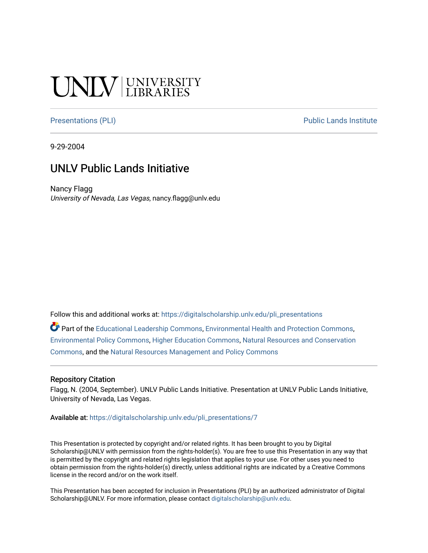#### **INIVERSITY**

[Presentations \(PLI\)](https://digitalscholarship.unlv.edu/pli_presentations) Presentations (PLI)

9-29-2004

#### UNLV Public Lands Initiative

Nancy Flagg University of Nevada, Las Vegas, nancy.flagg@unlv.edu

Follow this and additional works at: [https://digitalscholarship.unlv.edu/pli\\_presentations](https://digitalscholarship.unlv.edu/pli_presentations?utm_source=digitalscholarship.unlv.edu%2Fpli_presentations%2F7&utm_medium=PDF&utm_campaign=PDFCoverPages) 

Part of the [Educational Leadership Commons,](http://network.bepress.com/hgg/discipline/1230?utm_source=digitalscholarship.unlv.edu%2Fpli_presentations%2F7&utm_medium=PDF&utm_campaign=PDFCoverPages) [Environmental Health and Protection Commons](http://network.bepress.com/hgg/discipline/172?utm_source=digitalscholarship.unlv.edu%2Fpli_presentations%2F7&utm_medium=PDF&utm_campaign=PDFCoverPages), [Environmental Policy Commons,](http://network.bepress.com/hgg/discipline/1027?utm_source=digitalscholarship.unlv.edu%2Fpli_presentations%2F7&utm_medium=PDF&utm_campaign=PDFCoverPages) [Higher Education Commons,](http://network.bepress.com/hgg/discipline/1245?utm_source=digitalscholarship.unlv.edu%2Fpli_presentations%2F7&utm_medium=PDF&utm_campaign=PDFCoverPages) [Natural Resources and Conservation](http://network.bepress.com/hgg/discipline/168?utm_source=digitalscholarship.unlv.edu%2Fpli_presentations%2F7&utm_medium=PDF&utm_campaign=PDFCoverPages) [Commons](http://network.bepress.com/hgg/discipline/168?utm_source=digitalscholarship.unlv.edu%2Fpli_presentations%2F7&utm_medium=PDF&utm_campaign=PDFCoverPages), and the [Natural Resources Management and Policy Commons](http://network.bepress.com/hgg/discipline/170?utm_source=digitalscholarship.unlv.edu%2Fpli_presentations%2F7&utm_medium=PDF&utm_campaign=PDFCoverPages)

#### Repository Citation

Flagg, N. (2004, September). UNLV Public Lands Initiative. Presentation at UNLV Public Lands Initiative, University of Nevada, Las Vegas.

Available at: [https://digitalscholarship.unlv.edu/pli\\_presentations/7](https://digitalscholarship.unlv.edu/pli_presentations/7) 

This Presentation is protected by copyright and/or related rights. It has been brought to you by Digital Scholarship@UNLV with permission from the rights-holder(s). You are free to use this Presentation in any way that is permitted by the copyright and related rights legislation that applies to your use. For other uses you need to obtain permission from the rights-holder(s) directly, unless additional rights are indicated by a Creative Commons license in the record and/or on the work itself.

This Presentation has been accepted for inclusion in Presentations (PLI) by an authorized administrator of Digital Scholarship@UNLV. For more information, please contact [digitalscholarship@unlv.edu.](mailto:digitalscholarship@unlv.edu)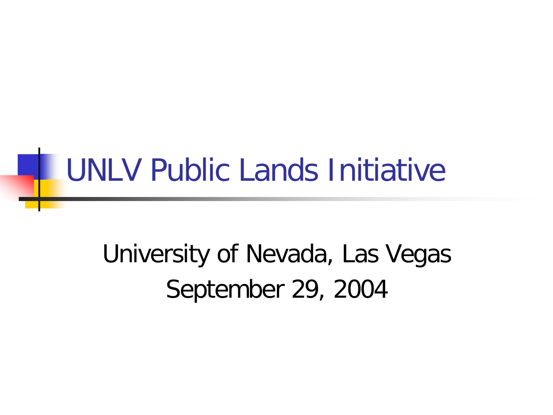#### University of Nevada, Las Vegas September 29, 2004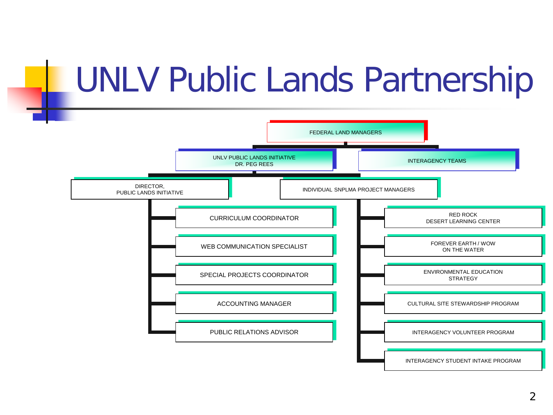#### UNLV Public Lands Partnership

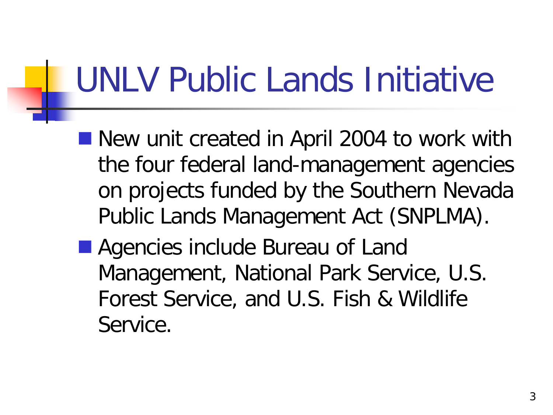- New unit created in April 2004 to work with the four federal land-management agencies on projects funded by the Southern Nevada Public Lands Management Act (SNPLMA).
- Agencies include Bureau of Land Management, National Park Service, U.S. Forest Service, and U.S. Fish & Wildlife Service.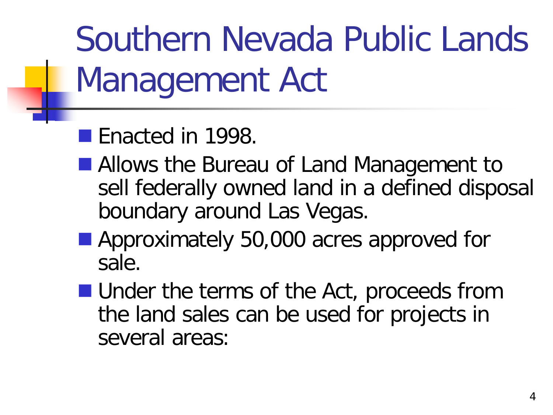Southern Nevada Public Lands Management Act

- Enacted in 1998.
- Allows the Bureau of Land Management to sell federally owned land in a defined disposal boundary around Las Vegas.
- **Approximately 50,000 acres approved for** sale.
- **Under the terms of the Act, proceeds from** the land sales can be used for projects in several areas: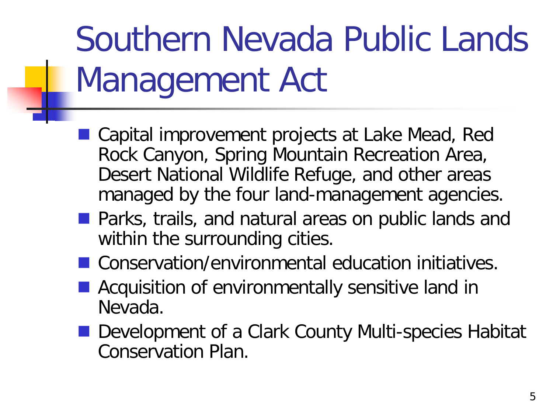## Southern Nevada Public Lands Management Act

- Capital improvement projects at Lake Mead, Red Rock Canyon, Spring Mountain Recreation Area, Desert National Wildlife Refuge, and other areas managed by the four land-management agencies.
- **Parks, trails, and natural areas on public lands and** within the surrounding cities.
- Conservation/environmental education initiatives.
- **Acquisition of environmentally sensitive land in** Nevada.
- Development of a Clark County Multi-species Habitat Conservation Plan.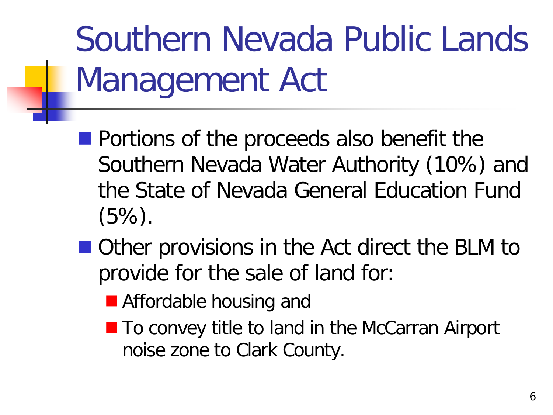Southern Nevada Public Lands Management Act

- **Portions of the proceeds also benefit the** Southern Nevada Water Authority (10%) and the State of Nevada General Education Fund (5%).
- Other provisions in the Act direct the BLM to provide for the sale of land for:
	- **E** Affordable housing and
	- To convey title to land in the McCarran Airport noise zone to Clark County.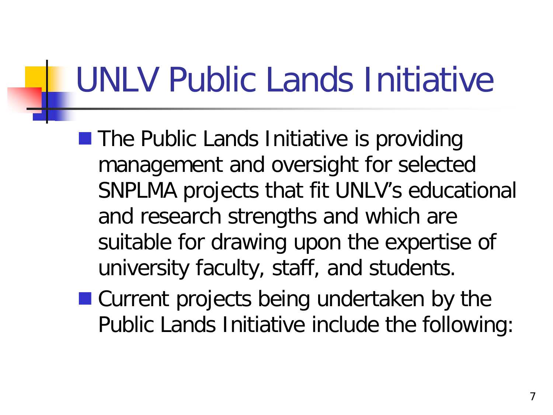- **The Public Lands Initiative is providing** management and oversight for selected SNPLMA projects that fit UNLV's educational and research strengths and which are suitable for drawing upon the expertise of university faculty, staff, and students.
- Current projects being undertaken by the Public Lands Initiative include the following: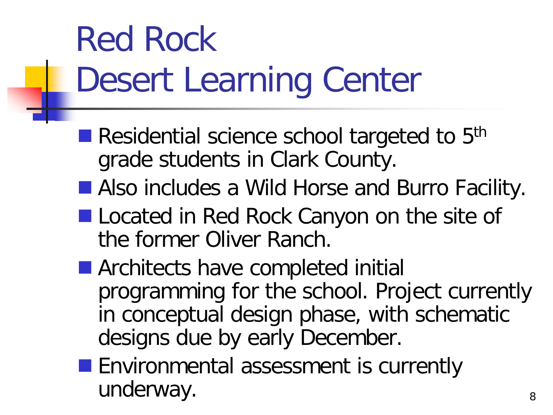## Red Rock Desert Learning Center

- Residential science school targeted to 5<sup>th</sup> grade students in Clark County.
- Also includes a Wild Horse and Burro Facility.
- **Located in Red Rock Canyon on the site of** the former Oliver Ranch.
- **E** Architects have completed initial programming for the school. Project currently in conceptual design phase, with schematic designs due by early December.
- **Environmental assessment is currently** underway.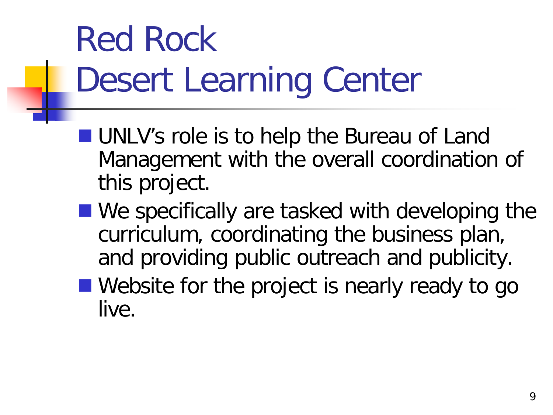## Red Rock Desert Learning Center

- **UNLV's role is to help the Bureau of Land** Management with the overall coordination of this project.
- We specifically are tasked with developing the curriculum, coordinating the business plan, and providing public outreach and publicity.
- Website for the project is nearly ready to go live.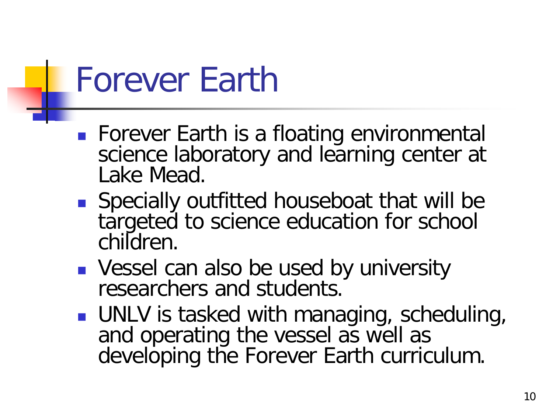#### Forever Earth

- **Forever Earth is a floating environmental** science laboratory and learning center at Lake Mead.
- Specially outfitted houseboat that will be targeted to science education for school children.
- **Vessel can also be used by university** researchers and students.
- **UNLV** is tasked with managing, scheduling, and operating the vessel as well as developing the Forever Earth curriculum.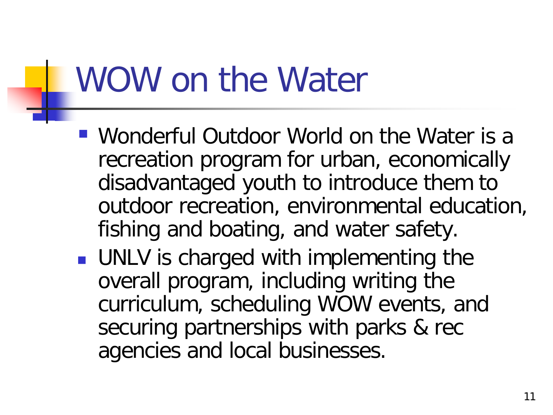#### WOW on the Water

- Wonderful Outdoor World on the Water is a recreation program for urban, economically disadvantaged youth to introduce them to outdoor recreation, environmental education, fishing and boating, and water safety.
- **UNLV** is charged with implementing the overall program, including writing the curriculum, scheduling WOW events, and securing partnerships with parks & rec agencies and local businesses.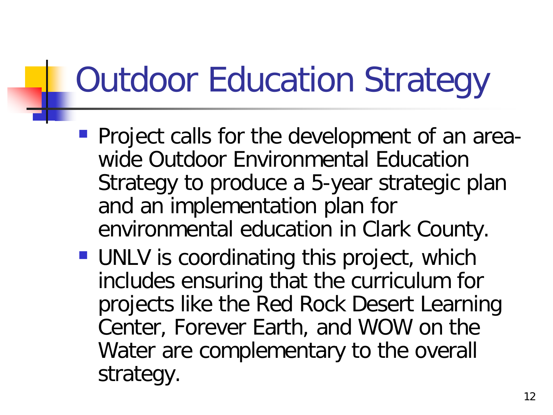## Outdoor Education Strategy

- **Project calls for the development of an area**wide Outdoor Environmental Education Strategy to produce a 5-year strategic plan and an implementation plan for environmental education in Clark County.
- **UNLV** is coordinating this project, which includes ensuring that the curriculum for projects like the Red Rock Desert Learning Center, Forever Earth, and WOW on the Water are complementary to the overall strategy.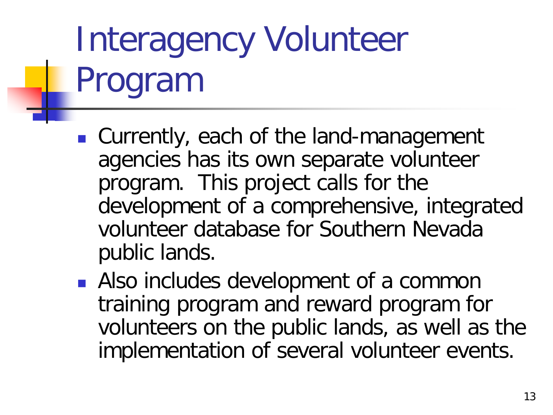## Interagency Volunteer Program

- Currently, each of the land-management agencies has its own separate volunteer program. This project calls for the development of a comprehensive, integrated volunteer database for Southern Nevada public lands.
- **Also includes development of a common** training program and reward program for volunteers on the public lands, as well as the implementation of several volunteer events.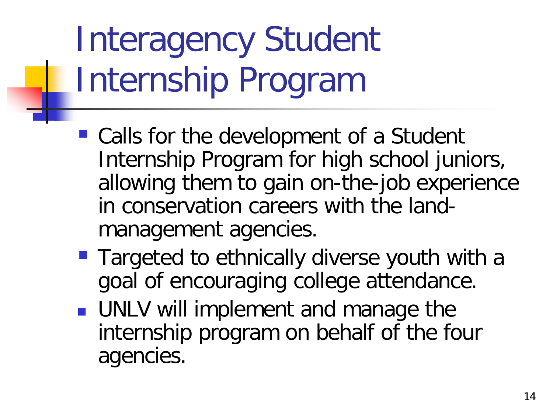## Interagency Student Internship Program

- Calls for the development of a Student Internship Program for high school juniors, allowing them to gain on-the-job experience in conservation careers with the landmanagement agencies.
- **Targeted to ethnically diverse youth with a** goal of encouraging college attendance.
- **UNLV will implement and manage the** internship program on behalf of the four agencies.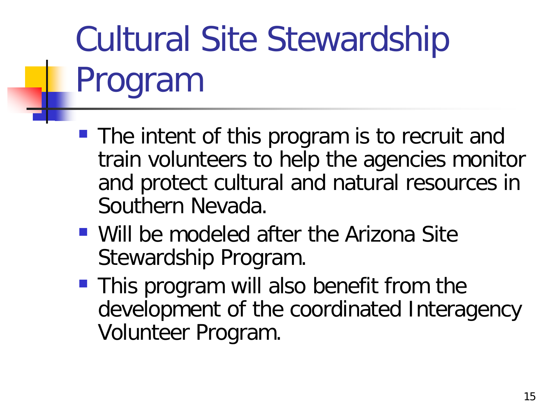# Cultural Site Stewardship Program

- The intent of this program is to recruit and train volunteers to help the agencies monitor and protect cultural and natural resources in Southern Nevada.
- Will be modeled after the Arizona Site Stewardship Program.
- **This program will also benefit from the** development of the coordinated Interagency Volunteer Program.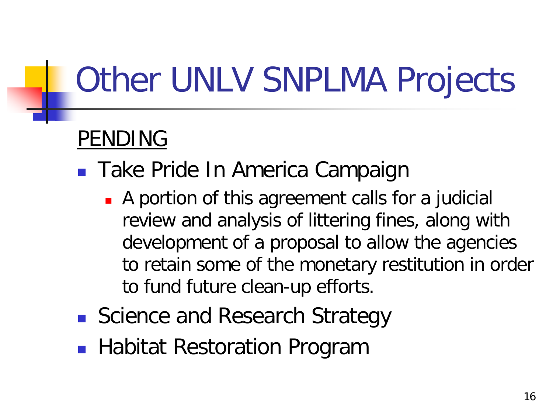### Other UNLV SNPLMA Projects

#### PENDING

- Take Pride In America Campaign
	- A portion of this agreement calls for a judicial review and analysis of littering fines, along with development of a proposal to allow the agencies to retain some of the monetary restitution in order to fund future clean-up efforts.
- Science and Research Strategy
- **Habitat Restoration Program**